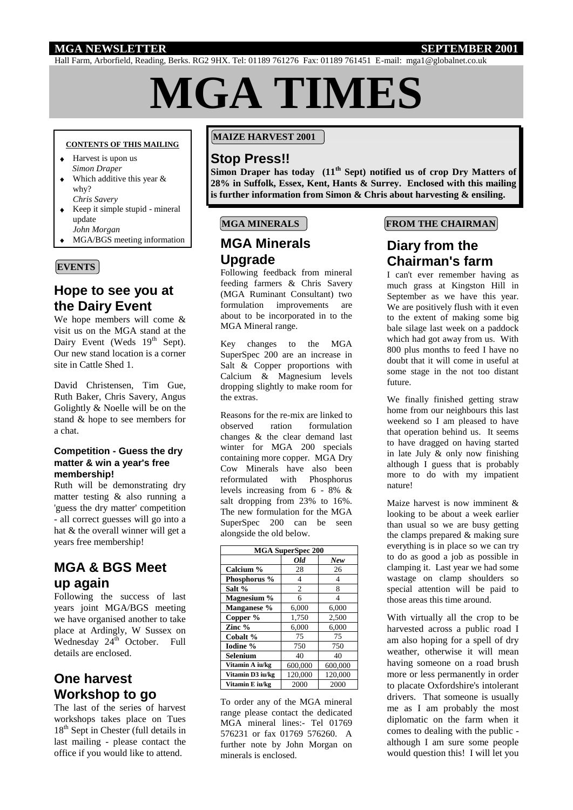## **MGA NEWSLETTER SEPTEMBER 2001**

Hall Farm, Arborfield, Reading, Berks. RG2 9HX. Tel: 01189 761276 Fax: 01189 761451 E-mail: mga1@globalnet.co.uk

# **MGA TIMES**

#### **CONTENTS OF THIS MAILING**

- Harvest is upon us  *Simon Draper*
- Which additive this year &  $\blacktriangle$ why? *Chris Savery*
- Keep it simple stupid mineral update
- *John Morgan*
- MGA/BGS meeting information

## **EVENTS**

## **Hope to see you at the Dairy Event**

We hope members will come & visit us on the MGA stand at the Dairy Event (Weds 19<sup>th</sup> Sept). Our new stand location is a corner site in Cattle Shed 1.

David Christensen, Tim Gue, Ruth Baker, Chris Savery, Angus Golightly & Noelle will be on the stand & hope to see members for a chat.

### **Competition - Guess the dry matter & win a year's free membership!**

Ruth will be demonstrating dry matter testing & also running a 'guess the dry matter' competition - all correct guesses will go into a hat & the overall winner will get a years free membership!

# **MGA & BGS Meet up again**

Following the success of last years joint MGA/BGS meeting we have organised another to take place at Ardingly, W Sussex on Wednesday  $24<sup>th</sup>$  October. Full details are enclosed.

# **One harvest Workshop to go**

The last of the series of harvest workshops takes place on Tues 18<sup>th</sup> Sept in Chester (full details in last mailing - please contact the office if you would like to attend.

### **MAIZE HARVEST 2001**

## **Stop Press!!**

**Simon Draper has today (11th Sept) notified us of crop Dry Matters of 28% in Suffolk, Essex, Kent, Hants & Surrey. Enclosed with this mailing is further information from Simon & Chris about harvesting & ensiling.**

## **MGA MINERALS**

# **MGA Minerals Upgrade**

Following feedback from mineral feeding farmers & Chris Savery (MGA Ruminant Consultant) two formulation improvements are about to be incorporated in to the MGA Mineral range.

Key changes to the MGA SuperSpec 200 are an increase in Salt & Copper proportions with Calcium & Magnesium levels dropping slightly to make room for the extras.

Reasons for the re-mix are linked to observed ration formulation changes & the clear demand last winter for MGA 200 specials containing more copper. MGA Dry Cow Minerals have also been reformulated with Phosphorus levels increasing from 6 - 8% & salt dropping from 23% to 16%. The new formulation for the MGA SuperSpec 200 can be seen alongside the old below.

| <b>MGA SuperSpec 200</b> |                |         |
|--------------------------|----------------|---------|
|                          | Old            | New     |
| Calcium %                | 28             | 26      |
| Phosphorus %             | 4              | 4       |
| Salt %                   | $\overline{2}$ | 8       |
| Magnesium %              | 6              | 4       |
| Manganese %              | 6,000          | 6,000   |
| Copper %                 | 1,750          | 2,500   |
| Zinc $%$                 | 6,000          | 6,000   |
| Cobalt %                 | 75             | 75      |
| Iodine %                 | 750            | 750     |
| Selenium                 | 40             | 40      |
| Vitamin A iu/kg          | 600,000        | 600,000 |
| Vitamin D3 iu/kg         | 120,000        | 120,000 |
| Vitamin E iu/kg          | 2000           | 2000    |

To order any of the MGA mineral range please contact the dedicated MGA mineral lines:- Tel 01769 576231 or fax 01769 576260. A further note by John Morgan on minerals is enclosed.

## **FROM THE CHAIRMAN**

## **Diary from the Chairman's farm**

I can't ever remember having as much grass at Kingston Hill in September as we have this year. We are positively flush with it even to the extent of making some big bale silage last week on a paddock which had got away from us. With 800 plus months to feed I have no doubt that it will come in useful at some stage in the not too distant future.

We finally finished getting straw home from our neighbours this last weekend so I am pleased to have that operation behind us. It seems to have dragged on having started in late July & only now finishing although I guess that is probably more to do with my impatient nature!

Maize harvest is now imminent & looking to be about a week earlier than usual so we are busy getting the clamps prepared & making sure everything is in place so we can try to do as good a job as possible in clamping it. Last year we had some wastage on clamp shoulders so special attention will be paid to those areas this time around.

With virtually all the crop to be harvested across a public road I am also hoping for a spell of dry weather, otherwise it will mean having someone on a road brush more or less permanently in order to placate Oxfordshire's intolerant drivers. That someone is usually me as I am probably the most diplomatic on the farm when it comes to dealing with the public although I am sure some people would question this! I will let you